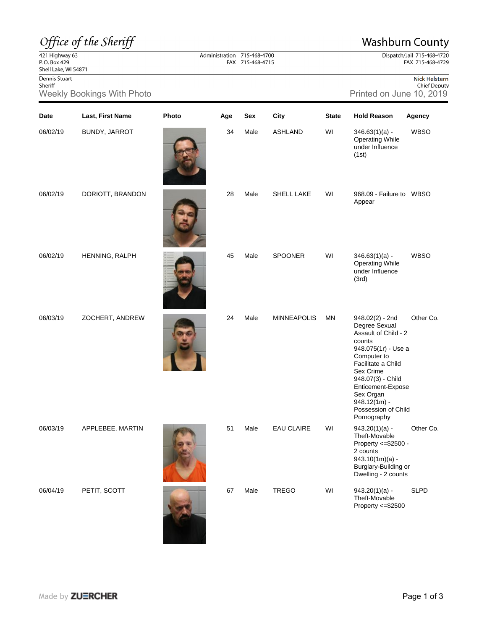## Office of the Sheriff

## **Washburn County**

Dispatch/Jail 715-468-4720 FAX 715-468-4729

 $\frac{22}{421}$  Highway 63<br>P.O. Box 429 Shell Lake, WI 54871

Dennis Stuart Sheriff

Weekly Bookings With Photo **Printed on June 10, 2019** Printed on June 10, 2019

| Nick Helstern       |
|---------------------|
| <b>Chief Deputy</b> |

| Date     | Last, First Name | Photo | Age | Sex  | City               | <b>State</b> | <b>Hold Reason</b>                                                                                                                                                                                                                                           | Agency      |
|----------|------------------|-------|-----|------|--------------------|--------------|--------------------------------------------------------------------------------------------------------------------------------------------------------------------------------------------------------------------------------------------------------------|-------------|
| 06/02/19 | BUNDY, JARROT    |       | 34  | Male | <b>ASHLAND</b>     | WI           | $346.63(1)(a) -$<br><b>Operating While</b><br>under Influence<br>(1st)                                                                                                                                                                                       | <b>WBSO</b> |
| 06/02/19 | DORIOTT, BRANDON |       | 28  | Male | SHELL LAKE         | WI           | 968.09 - Failure to WBSO<br>Appear                                                                                                                                                                                                                           |             |
| 06/02/19 | HENNING, RALPH   |       | 45  | Male | <b>SPOONER</b>     | WI           | $346.63(1)(a) -$<br><b>Operating While</b><br>under Influence<br>(3rd)                                                                                                                                                                                       | <b>WBSO</b> |
| 06/03/19 | ZOCHERT, ANDREW  |       | 24  | Male | <b>MINNEAPOLIS</b> | MN           | $948.02(2) - 2nd$<br>Degree Sexual<br>Assault of Child - 2<br>counts<br>948.075(1r) - Use a<br>Computer to<br>Facilitate a Child<br>Sex Crime<br>948.07(3) - Child<br>Enticement-Expose<br>Sex Organ<br>$948.12(1m) -$<br>Possession of Child<br>Pornography | Other Co.   |
| 06/03/19 | APPLEBEE, MARTIN |       | 51  | Male | <b>EAU CLAIRE</b>  | WI           | $943.20(1)(a) -$<br>Theft-Movable<br>Property <= \$2500 -<br>2 counts<br>$943.10(1m)(a) -$<br>Burglary-Building or<br>Dwelling - 2 counts                                                                                                                    | Other Co.   |
| 06/04/19 | PETIT, SCOTT     |       | 67  | Male | <b>TREGO</b>       | WI           | $943.20(1)(a) -$<br>Theft-Movable<br>Property <= \$2500                                                                                                                                                                                                      | <b>SLPD</b> |

Administration 715-468-4700<br>FAX 715-468-4715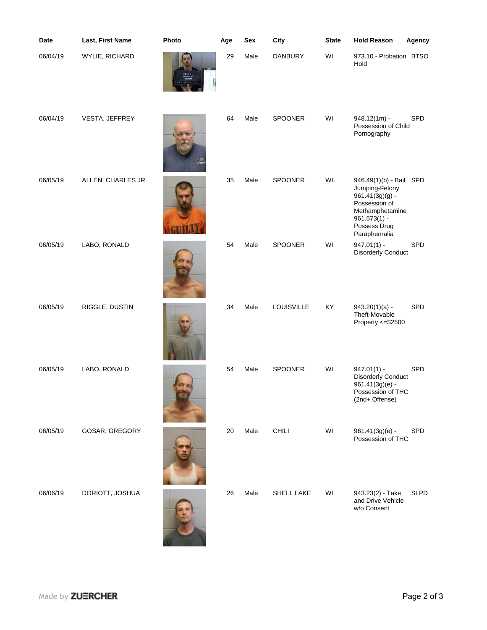| Date     | Last, First Name  | Photo | Age | Sex  | City           | <b>State</b> | <b>Hold Reason</b>                                                                                                                                    | Agency      |
|----------|-------------------|-------|-----|------|----------------|--------------|-------------------------------------------------------------------------------------------------------------------------------------------------------|-------------|
| 06/04/19 | WYLIE, RICHARD    |       | 29  | Male | <b>DANBURY</b> | WI           | 973.10 - Probation BTSO<br>Hold                                                                                                                       |             |
| 06/04/19 | VESTA, JEFFREY    |       | 64  | Male | SPOONER        | WI           | $948.12(1m) -$<br>Possession of Child<br>Pornography                                                                                                  | SPD         |
| 06/05/19 | ALLEN, CHARLES JR |       | 35  | Male | SPOONER        | WI           | 946.49(1)(b) - Bail SPD<br>Jumping-Felony<br>$961.41(3g)(g)$ -<br>Possession of<br>Methamphetamine<br>$961.573(1) -$<br>Possess Drug<br>Paraphernalia |             |
| 06/05/19 | LABO, RONALD      |       | 54  | Male | SPOONER        | WI           | $947.01(1) -$<br><b>Disorderly Conduct</b>                                                                                                            | SPD         |
| 06/05/19 | RIGGLE, DUSTIN    |       | 34  | Male | LOUISVILLE     | KY           | $943.20(1)(a) -$<br>Theft-Movable<br>Property <= \$2500                                                                                               | SPD         |
| 06/05/19 | LABO, RONALD      |       | 54  | Male | <b>SPOONER</b> | WI           | $947.01(1) -$<br><b>Disorderly Conduct</b><br>961.41(3g)(e) -<br>Possession of THC<br>(2nd+ Offense)                                                  | SPD         |
| 06/05/19 | GOSAR, GREGORY    |       | 20  | Male | CHILI          | WI           | 961.41(3g)(e) -<br>Possession of THC                                                                                                                  | <b>SPD</b>  |
| 06/06/19 | DORIOTT, JOSHUA   |       | 26  | Male | SHELL LAKE     | WI           | 943.23(2) - Take<br>and Drive Vehicle<br>w/o Consent                                                                                                  | <b>SLPD</b> |